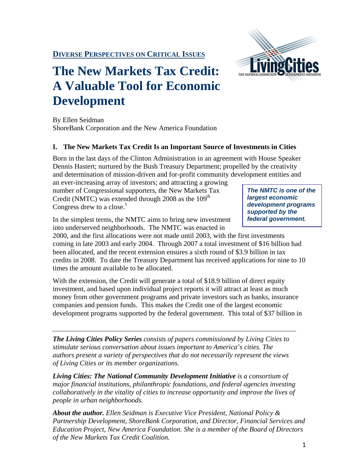

# **The New Markets Tax Credit: A Valuable Tool for Economic Development**

By Ellen Seidman ShoreBank Corporation and the New America Foundation

# **I. The New Markets Tax Credit Is an Important Source of Investments in Cities**

Born in the last days of the Clinton Administration in an agreement with House Speaker Dennis Hastert; nurtured by the Bush Treasury Department; propelled by the creativity and determination of mission-driven and for-profit community development entities and

an ever-increasing array of investors; and attracting a growing number of Congressional supporters, the New Markets Tax Credit (NMTC) was extended through  $2008$  as the  $109<sup>th</sup>$ Congress drew to a close.<sup>1</sup>

*The NMTC is one of the largest economic development programs supported by the federal government.* 

In the simplest terms, the NMTC aims to bring new investment into underserved neighborhoods. The NMTC was enacted in

2000, and the first allocations were not made until 2003, with the first investments coming in late 2003 and early 2004. Through 2007 a total investment of \$16 billion had been allocated, and the recent extension ensures a sixth round of \$3.9 billion in tax credits in 2008. To date the Treasury Department has received applications for nine to 10 times the amount available to be allocated.

With the extension, the Credit will generate a total of \$18.9 billion of direct equity investment, and based upon individual project reports it will attract at least as much money from other government programs and private investors such as banks, insurance companies and pension funds. This makes the Credit one of the largest economic development programs supported by the federal government. This total of \$37 billion in

*The Living Cities Policy Series consists of papers commissioned by Living Cities to stimulate serious conversation about issues important to America's cities. The authors present a variety of perspectives that do not necessarily represent the views of Living Cities or its member organizations.* 

**Living Cities: The National Community Development Initiative** is a consortium of *major financial institutions, philanthropic foundations, and federal agencies investing collaboratively in the vitality of cities to increase opportunity and improve the lives of people in urban neighborhoods.* 

*About the author. Ellen Seidman is Executive Vice President, National Policy & Partnership Development, ShoreBank Corporation, and Director, Financial Services and Education Project, New America Foundation. She is a member of the Board of Directors of the New Markets Tax Credit Coalition.*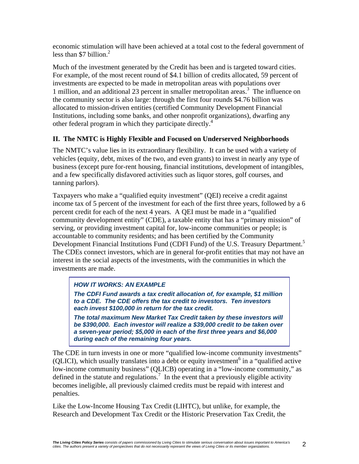economic stimulation will have been achieved at a total cost to the federal government of less than \$7 billion. $2$ 

Much of the investment generated by the Credit has been and is targeted toward cities. For example, of the most recent round of \$4.1 billion of credits allocated, 59 percent of investments are expected to be made in metropolitan areas with populations over 1 million, and an additional 23 percent in smaller metropolitan areas.<sup>3</sup> The influence on the community sector is also large: through the first four rounds \$4.76 billion was allocated to mission-driven entities (certified Community Development Financial Institutions, including some banks, and other nonprofit organizations), dwarfing any other federal program in which they participate directly.<sup>4</sup>

# **II. The NMTC is Highly Flexible and Focused on Underserved Neighborhoods**

The NMTC's value lies in its extraordinary flexibility. It can be used with a variety of vehicles (equity, debt, mixes of the two, and even grants) to invest in nearly any type of business (except pure for-rent housing, financial institutions, development of intangibles, and a few specifically disfavored activities such as liquor stores, golf courses, and tanning parlors).

Taxpayers who make a "qualified equity investment" (QEI) receive a credit against income tax of 5 percent of the investment for each of the first three years, followed by a 6 percent credit for each of the next 4 years. A QEI must be made in a "qualified community development entity" (CDE), a taxable entity that has a "primary mission" of serving, or providing investment capital for, low-income communities or people; is accountable to community residents; and has been certified by the Community Development Financial Institutions Fund (CDFI Fund) of the U.S. Treasury Department.<sup>5</sup> The CDEs connect investors, which are in general for-profit entities that may not have an interest in the social aspects of the investments, with the communities in which the investments are made.

# *HOW IT WORKS: AN EXAMPLE*

*The CDFI Fund awards a tax credit allocation of, for example, \$1 million to a CDE. The CDE offers the tax credit to investors. Ten investors each invest \$100,000 in return for the tax credit.* 

*The total maximum New Market Tax Credit taken by these investors will be \$390,000. Each investor will realize a \$39,000 credit to be taken over a seven-year period; \$5,000 in each of the first three years and \$6,000 during each of the remaining four years.* 

The CDE in turn invests in one or more "qualified low-income community investments"  $(QLICI)$ , which usually translates into a debt or equity investment<sup>6</sup> in a "qualified active" low-income community business" (QLICB) operating in a "low-income community," as defined in the statute and regulations.<sup>7</sup> In the event that a previously eligible activity becomes ineligible, all previously claimed credits must be repaid with interest and penalties.

Like the Low-Income Housing Tax Credit (LIHTC), but unlike, for example, the Research and Development Tax Credit or the Historic Preservation Tax Credit, the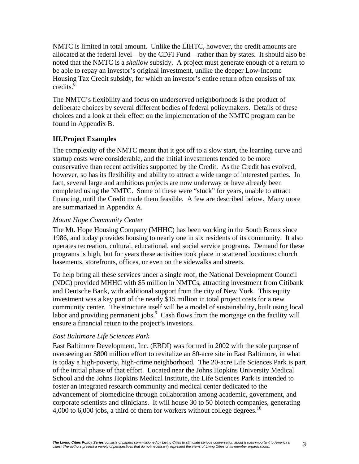NMTC is limited in total amount. Unlike the LIHTC, however, the credit amounts are allocated at the federal level—by the CDFI Fund—rather than by states. It should also be noted that the NMTC is a *shallow* subsidy. A project must generate enough of a return to be able to repay an investor's original investment, unlike the deeper Low-Income Housing Tax Credit subsidy, for which an investor's entire return often consists of tax  $\text{credits}$ .

The NMTC's flexibility and focus on underserved neighborhoods is the product of deliberate choices by several different bodies of federal policymakers. Details of these choices and a look at their effect on the implementation of the NMTC program can be found in Appendix B.

# **III.Project Examples**

The complexity of the NMTC meant that it got off to a slow start, the learning curve and startup costs were considerable, and the initial investments tended to be more conservative than recent activities supported by the Credit. As the Credit has evolved, however, so has its flexibility and ability to attract a wide range of interested parties. In fact, several large and ambitious projects are now underway or have already been completed using the NMTC. Some of these were "stuck" for years, unable to attract financing, until the Credit made them feasible. A few are described below. Many more are summarized in Appendix A.

#### *Mount Hope Community Center*

The Mt. Hope Housing Company (MHHC) has been working in the South Bronx since 1986, and today provides housing to nearly one in six residents of its community. It also operates recreation, cultural, educational, and social service programs. Demand for these programs is high, but for years these activities took place in scattered locations: church basements, storefronts, offices, or even on the sidewalks and streets.

To help bring all these services under a single roof, the National Development Council (NDC) provided MHHC with \$5 million in NMTCs, attracting investment from Citibank and Deutsche Bank, with additional support from the city of New York. This equity investment was a key part of the nearly \$15 million in total project costs for a new community center. The structure itself will be a model of sustainability, built using local labor and providing permanent jobs. $9$  Cash flows from the mortgage on the facility will ensure a financial return to the project's investors.

# *East Baltimore Life Sciences Park*

East Baltimore Development, Inc. (EBDI) was formed in 2002 with the sole purpose of overseeing an \$800 million effort to revitalize an 80-acre site in East Baltimore, in what is today a high-poverty, high-crime neighborhood. The 20-acre Life Sciences Park is part of the initial phase of that effort. Located near the Johns Hopkins University Medical School and the Johns Hopkins Medical Institute, the Life Sciences Park is intended to foster an integrated research community and medical center dedicated to the advancement of biomedicine through collaboration among academic, government, and corporate scientists and clinicians. It will house 30 to 50 biotech companies, generating 4,000 to 6,000 jobs, a third of them for workers without college degrees.<sup>10</sup>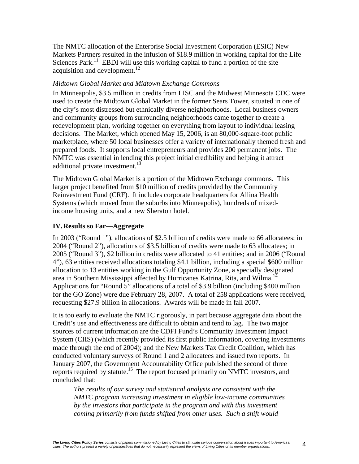The NMTC allocation of the Enterprise Social Investment Corporation (ESIC) New Markets Partners resulted in the infusion of \$18.9 million in working capital for the Life Sciences Park.<sup>11</sup> EBDI will use this working capital to fund a portion of the site acquisition and development. $^{12}$ 

#### *Midtown Global Market and Midtown Exchange Commons*

In Minneapolis, \$3.5 million in credits from LISC and the Midwest Minnesota CDC were used to create the Midtown Global Market in the former Sears Tower, situated in one of the city's most distressed but ethnically diverse neighborhoods. Local business owners and community groups from surrounding neighborhoods came together to create a redevelopment plan, working together on everything from layout to individual leasing decisions. The Market, which opened May 15, 2006, is an 80,000-square-foot public marketplace, where 50 local businesses offer a variety of internationally themed fresh and prepared foods. It supports local entrepreneurs and provides 200 permanent jobs. The NMTC was essential in lending this project initial credibility and helping it attract additional private investment.<sup>13</sup>

The Midtown Global Market is a portion of the Midtown Exchange commons. This larger project benefited from \$10 million of credits provided by the Community Reinvestment Fund (CRF). It includes corporate headquarters for Allina Health Systems (which moved from the suburbs into Minneapolis), hundreds of mixedincome housing units, and a new Sheraton hotel.

# **IV.Results so Far—Aggregate**

In 2003 ("Round 1"), allocations of \$2.5 billion of credits were made to 66 allocatees; in 2004 ("Round 2"), allocations of \$3.5 billion of credits were made to 63 allocatees; in 2005 ("Round 3"), \$2 billion in credits were allocated to 41 entities; and in 2006 ("Round 4"), 63 entities received allocations totaling \$4.1 billion, including a special \$600 million allocation to 13 entities working in the Gulf Opportunity Zone, a specially designated area in Southern Mississippi affected by Hurricanes Katrina, Rita, and Wilma.<sup>14</sup> Applications for "Round 5" allocations of a total of \$3.9 billion (including \$400 million for the GO Zone) were due February 28, 2007. A total of 258 applications were received, requesting \$27.9 billion in allocations. Awards will be made in fall 2007.

It is too early to evaluate the NMTC rigorously, in part because aggregate data about the Credit's use and effectiveness are difficult to obtain and tend to lag. The two major sources of current information are the CDFI Fund's Community Investment Impact System (CIIS) (which recently provided its first public information, covering investments made through the end of 2004); and the New Markets Tax Credit Coalition, which has conducted voluntary surveys of Round 1 and 2 allocatees and issued two reports. In January 2007, the Government Accountability Office published the second of three reports required by statute.15 The report focused primarily on NMTC investors, and concluded that:

*The results of our survey and statistical analysis are consistent with the NMTC program increasing investment in eligible low-income communities by the investors that participate in the program and with this investment coming primarily from funds shifted from other uses. Such a shift would*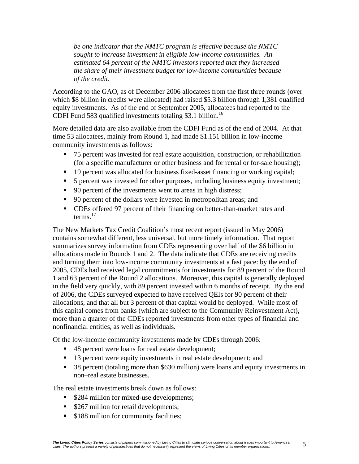*be one indicator that the NMTC program is effective because the NMTC sought to increase investment in eligible low-income communities. An estimated 64 percent of the NMTC investors reported that they increased the share of their investment budget for low-income communities because of the credit.* 

According to the GAO, as of December 2006 allocatees from the first three rounds (over which \$8 billion in credits were allocated) had raised \$5.3 billion through 1,381 qualified equity investments. As of the end of September 2005, allocatees had reported to the CDFI Fund 583 qualified investments totaling \$3.1 billion.<sup>16</sup>

More detailed data are also available from the CDFI Fund as of the end of 2004. At that time 53 allocatees, mainly from Round 1, had made \$1.151 billion in low-income community investments as follows:

- 75 percent was invested for real estate acquisition, construction, or rehabilitation (for a specific manufacturer or other business and for rental or for-sale housing);
- <sup>19</sup> percent was allocated for business fixed-asset financing or working capital;
- 5 percent was invested for other purposes, including business equity investment;
- 90 percent of the investments went to areas in high distress;
- 90 percent of the dollars were invested in metropolitan areas; and
- CDEs offered 97 percent of their financing on better-than-market rates and terms. $17$

The New Markets Tax Credit Coalition's most recent report (issued in May 2006) contains somewhat different, less universal, but more timely information. That report summarizes survey information from CDEs representing over half of the \$6 billion in allocations made in Rounds 1 and 2. The data indicate that CDEs are receiving credits and turning them into low-income community investments at a fast pace: by the end of 2005, CDEs had received legal commitments for investments for 89 percent of the Round 1 and 63 percent of the Round 2 allocations. Moreover, this capital is generally deployed in the field very quickly, with 89 percent invested within 6 months of receipt. By the end of 2006, the CDEs surveyed expected to have received QEIs for 90 percent of their allocations, and that all but 3 percent of that capital would be deployed. While most of this capital comes from banks (which are subject to the Community Reinvestment Act), more than a quarter of the CDEs reported investments from other types of financial and nonfinancial entities, as well as individuals.

Of the low-income community investments made by CDEs through 2006:

- 48 percent were loans for real estate development;
- 13 percent were equity investments in real estate development; and
- 38 percent (totaling more than \$630 million) were loans and equity investments in non–real estate businesses.

The real estate investments break down as follows:

- \$284 million for mixed-use developments;
- **S267** million for retail developments;
- **S188 million for community facilities;**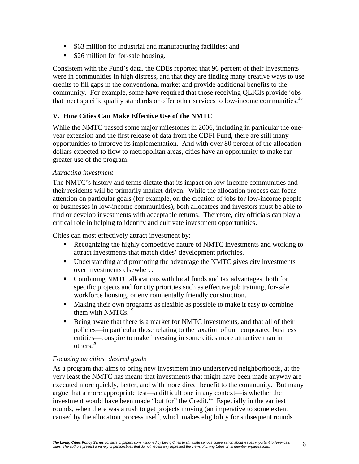- \$63 million for industrial and manufacturing facilities; and
- \$26 million for for-sale housing.

Consistent with the Fund's data, the CDEs reported that 96 percent of their investments were in communities in high distress, and that they are finding many creative ways to use credits to fill gaps in the conventional market and provide additional benefits to the community. For example, some have required that those receiving QLICIs provide jobs that meet specific quality standards or offer other services to low-income communities.<sup>18</sup>

# **V. How Cities Can Make Effective Use of the NMTC**

While the NMTC passed some major milestones in 2006, including in particular the oneyear extension and the first release of data from the CDFI Fund, there are still many opportunities to improve its implementation. And with over 80 percent of the allocation dollars expected to flow to metropolitan areas, cities have an opportunity to make far greater use of the program.

#### *Attracting investment*

The NMTC's history and terms dictate that its impact on low-income communities and their residents will be primarily market-driven. While the allocation process can focus attention on particular goals (for example, on the creation of jobs for low-income people or businesses in low-income communities), both allocatees and investors must be able to find or develop investments with acceptable returns. Therefore, city officials can play a critical role in helping to identify and cultivate investment opportunities.

Cities can most effectively attract investment by:

- Recognizing the highly competitive nature of NMTC investments and working to attract investments that match cities' development priorities.
- Understanding and promoting the advantage the NMTC gives city investments over investments elsewhere.
- Combining NMTC allocations with local funds and tax advantages, both for specific projects and for city priorities such as effective job training, for-sale workforce housing, or environmentally friendly construction.
- Making their own programs as flexible as possible to make it easy to combine them with NMTCs.<sup>19</sup>
- Being aware that there is a market for NMTC investments, and that all of their policies—in particular those relating to the taxation of unincorporated business entities—conspire to make investing in some cities more attractive than in others.20

# *Focusing on cities' desired goals*

As a program that aims to bring new investment into underserved neighborhoods, at the very least the NMTC has meant that investments that might have been made anyway are executed more quickly, better, and with more direct benefit to the community. But many argue that a more appropriate test—a difficult one in any context—is whether the investment would have been made "but for" the Credit. $^{21}$  Especially in the earliest rounds, when there was a rush to get projects moving (an imperative to some extent caused by the allocation process itself, which makes eligibility for subsequent rounds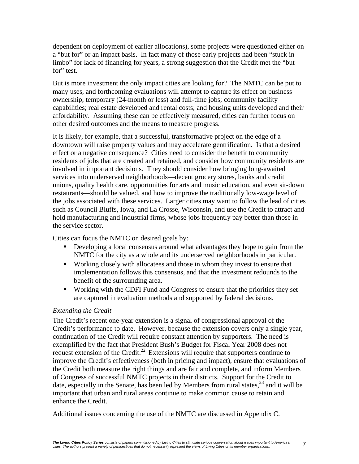dependent on deployment of earlier allocations), some projects were questioned either on a "but for" or an impact basis. In fact many of those early projects had been "stuck in limbo" for lack of financing for years, a strong suggestion that the Credit met the "but for" test.

But is more investment the only impact cities are looking for? The NMTC can be put to many uses, and forthcoming evaluations will attempt to capture its effect on business ownership; temporary (24-month or less) and full-time jobs; community facility capabilities; real estate developed and rental costs; and housing units developed and their affordability. Assuming these can be effectively measured, cities can further focus on other desired outcomes and the means to measure progress.

It is likely, for example, that a successful, transformative project on the edge of a downtown will raise property values and may accelerate gentrification. Is that a desired effect or a negative consequence? Cities need to consider the benefit to community residents of jobs that are created and retained, and consider how community residents are involved in important decisions. They should consider how bringing long-awaited services into underserved neighborhoods—decent grocery stores, banks and credit unions, quality health care, opportunities for arts and music education, and even sit-down restaurants—should be valued, and how to improve the traditionally low-wage level of the jobs associated with these services. Larger cities may want to follow the lead of cities such as Council Bluffs, Iowa, and La Crosse, Wisconsin, and use the Credit to attract and hold manufacturing and industrial firms, whose jobs frequently pay better than those in the service sector.

Cities can focus the NMTC on desired goals by:

- Developing a local consensus around what advantages they hope to gain from the NMTC for the city as a whole and its underserved neighborhoods in particular.
- Working closely with allocatees and those in whom they invest to ensure that implementation follows this consensus, and that the investment redounds to the benefit of the surrounding area.
- Working with the CDFI Fund and Congress to ensure that the priorities they set are captured in evaluation methods and supported by federal decisions.

# *Extending the Credit*

The Credit's recent one-year extension is a signal of congressional approval of the Credit's performance to date. However, because the extension covers only a single year, continuation of the Credit will require constant attention by supporters. The need is exemplified by the fact that President Bush's Budget for Fiscal Year 2008 does not request extension of the Credit.<sup>22</sup> Extensions will require that supporters continue to improve the Credit's effectiveness (both in pricing and impact), ensure that evaluations of the Credit both measure the right things and are fair and complete, and inform Members of Congress of successful NMTC projects in their districts. Support for the Credit to date, especially in the Senate, has been led by Members from rural states, $^{23}$  and it will be important that urban and rural areas continue to make common cause to retain and enhance the Credit.

Additional issues concerning the use of the NMTC are discussed in Appendix C.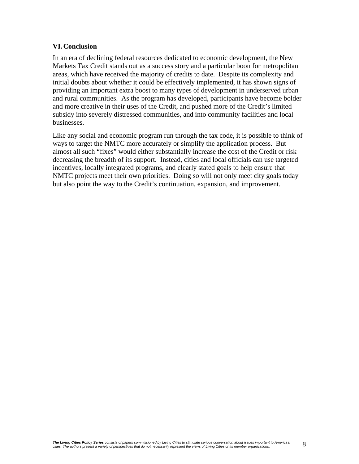#### **VI.Conclusion**

In an era of declining federal resources dedicated to economic development, the New Markets Tax Credit stands out as a success story and a particular boon for metropolitan areas, which have received the majority of credits to date. Despite its complexity and initial doubts about whether it could be effectively implemented, it has shown signs of providing an important extra boost to many types of development in underserved urban and rural communities. As the program has developed, participants have become bolder and more creative in their uses of the Credit, and pushed more of the Credit's limited subsidy into severely distressed communities, and into community facilities and local businesses.

Like any social and economic program run through the tax code, it is possible to think of ways to target the NMTC more accurately or simplify the application process. But almost all such "fixes" would either substantially increase the cost of the Credit or risk decreasing the breadth of its support. Instead, cities and local officials can use targeted incentives, locally integrated programs, and clearly stated goals to help ensure that NMTC projects meet their own priorities. Doing so will not only meet city goals today but also point the way to the Credit's continuation, expansion, and improvement.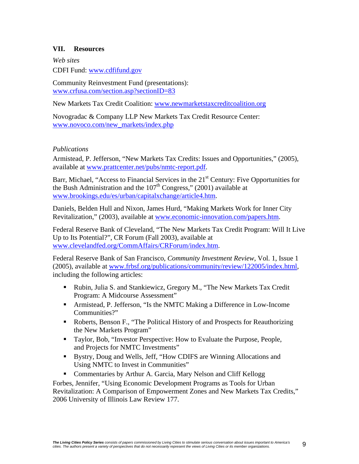# **VII. Resources**

*Web sites*  CDFI Fund: www.cdfifund.gov

Community Reinvestment Fund (presentations): www.crfusa.com/section.asp?sectionID=83

New Markets Tax Credit Coalition: www.newmarketstaxcreditcoalition.org

Novogradac & Company LLP New Markets Tax Credit Resource Center: www.novoco.com/new\_markets/index.php

#### *Publications*

Armistead, P. Jefferson, "New Markets Tax Credits: Issues and Opportunities," (2005), available at www.prattcenter.net/pubs/nmtc-report.pdf.

Barr, Michael, "Access to Financial Services in the  $21<sup>st</sup>$  Century: Five Opportunities for the Bush Administration and the  $107<sup>th</sup>$  Congress," (2001) available at www.brookings.edu/es/urban/capitalxchange/article4.htm.

Daniels, Belden Hull and Nixon, James Hurd, "Making Markets Work for Inner City Revitalization," (2003), available at www.economic-innovation.com/papers.htm.

Federal Reserve Bank of Cleveland, "The New Markets Tax Credit Program: Will It Live Up to Its Potential?", CR Forum (Fall 2003), available at www.clevelandfed.org/CommAffairs/CRForum/index.htm.

Federal Reserve Bank of San Francisco, *Community Investment Review*, Vol. 1, Issue 1 (2005), available at www.frbsf.org/publications/community/review/122005/index.html, including the following articles:

- Rubin, Julia S. and Stankiewicz, Gregory M., "The New Markets Tax Credit Program: A Midcourse Assessment"
- Armistead, P. Jefferson, "Is the NMTC Making a Difference in Low-Income Communities?"
- Roberts, Benson F., "The Political History of and Prospects for Reauthorizing the New Markets Program"
- Taylor, Bob, "Investor Perspective: How to Evaluate the Purpose, People, and Projects for NMTC Investments"
- Bystry, Doug and Wells, Jeff, "How CDIFS are Winning Allocations and Using NMTC to Invest in Communities"
- Commentaries by Arthur A. Garcia, Mary Nelson and Cliff Kellogg

Forbes, Jennifer, "Using Economic Development Programs as Tools for Urban Revitalization: A Comparison of Empowerment Zones and New Markets Tax Credits," 2006 University of Illinois Law Review 177.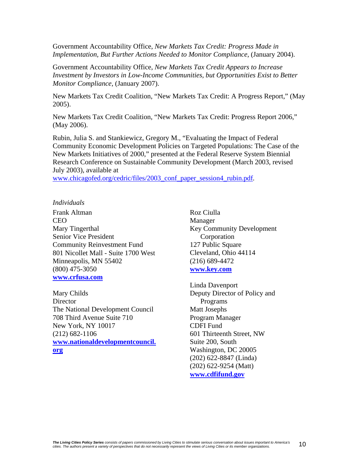Government Accountability Office, *New Markets Tax Credit: Progress Made in Implementation, But Further Actions Needed to Monitor Compliance*, (January 2004).

Government Accountability Office, *New Markets Tax Credit Appears to Increase Investment by Investors in Low-Income Communities, but Opportunities Exist to Better Monitor Compliance*, (January 2007).

New Markets Tax Credit Coalition, "New Markets Tax Credit: A Progress Report," (May 2005).

New Markets Tax Credit Coalition, "New Markets Tax Credit: Progress Report 2006," (May 2006).

Rubin, Julia S. and Stankiewicz, Gregory M., "Evaluating the Impact of Federal Community Economic Development Policies on Targeted Populations: The Case of the New Markets Initiatives of 2000," presented at the Federal Reserve System Biennial Research Conference on Sustainable Community Development (March 2003, revised July 2003), available at

www.chicagofed.org/cedric/files/2003\_conf\_paper\_session4\_rubin.pdf*.*

#### *Individuals*

Frank Altman CEO Mary Tingerthal Senior Vice President Community Reinvestment Fund 801 Nicollet Mall - Suite 1700 West Minneapolis, MN 55402 (800) 475-3050 **www.crfusa.com**

Mary Childs **Director** The National Development Council 708 Third Avenue Suite 710 New York, NY 10017 (212) 682-1106 **www.nationaldevelopmentcouncil. org**

Roz Ciulla Manager Key Community Development Corporation 127 Public Square Cleveland, Ohio 44114 (216) 689-4472 **www.key.com**

Linda Davenport Deputy Director of Policy and Programs Matt Josephs Program Manager CDFI Fund 601 Thirteenth Street, NW Suite 200, South Washington, DC 20005 (202) 622-8847 (Linda) (202) 622-9254 (Matt) **www.cdfifund.gov**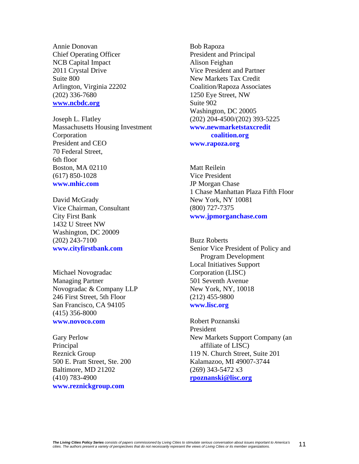Annie Donovan Chief Operating Officer NCB Capital Impact 2011 Crystal Drive Suite 800 Arlington, Virginia 22202 (202) 336-7680 **www.ncbdc.org**

Joseph L. Flatley Massachusetts Housing Investment Corporation President and CEO 70 Federal Street, 6th floor Boston, MA 02110 (617) 850-1028 **www.mhic.com** 

David McGrady Vice Chairman, Consultant City First Bank 1432 U Street NW Washington, DC 20009 (202) 243-7100 **www.cityfirstbank.com** 

Michael Novogradac Managing Partner Novogradac & Company LLP 246 First Street, 5th Floor San Francisco, CA 94105 (415) 356-8000 **www.novoco.com** 

Gary Perlow Principal Reznick Group 500 E. Pratt Street, Ste. 200 Baltimore, MD 21202 (410) 783-4900 **www.reznickgroup.com** 

Bob Rapoza President and Principal Alison Feighan Vice President and Partner New Markets Tax Credit Coalition/Rapoza Associates 1250 Eye Street, NW Suite 902 Washington, DC 20005 (202) 204-4500/(202) 393-5225 **www.newmarketstaxcredit coalition.org www.rapoza.org** 

Matt Reilein Vice President JP Morgan Chase 1 Chase Manhattan Plaza Fifth Floor New York, NY 10081 (800) 727-7375 **www.jpmorganchase.com** 

Buzz Roberts Senior Vice President of Policy and Program Development Local Initiatives Support Corporation (LISC) 501 Seventh Avenue New York, NY, 10018 (212) 455-9800 **www.lisc.org** 

Robert Poznanski President New Markets Support Company (an affiliate of LISC) 119 N. Church Street, Suite 201 Kalamazoo, MI 49007-3744 (269) 343-5472 x3 **rpoznanski@lisc.org**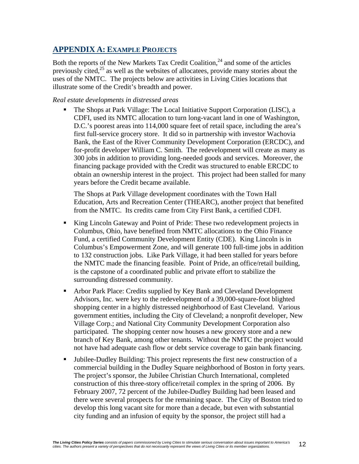# **APPENDIX A: EXAMPLE PROJECTS**

Both the reports of the New Markets Tax Credit Coalition,  $^{24}$  and some of the articles previously cited, $^{25}$  as well as the websites of allocatees, provide many stories about the uses of the NMTC. The projects below are activities in Living Cities locations that illustrate some of the Credit's breadth and power.

#### *Real estate developments in distressed areas*

 The Shops at Park Village: The Local Initiative Support Corporation (LISC), a CDFI, used its NMTC allocation to turn long-vacant land in one of Washington, D.C.'s poorest areas into 114,000 square feet of retail space, including the area's first full-service grocery store. It did so in partnership with investor Wachovia Bank, the East of the River Community Development Corporation (ERCDC), and for-profit developer William C. Smith. The redevelopment will create as many as 300 jobs in addition to providing long-needed goods and services. Moreover, the financing package provided with the Credit was structured to enable ERCDC to obtain an ownership interest in the project. This project had been stalled for many years before the Credit became available.

The Shops at Park Village development coordinates with the Town Hall Education, Arts and Recreation Center (THEARC), another project that benefited from the NMTC. Its credits came from City First Bank, a certified CDFI.

- King Lincoln Gateway and Point of Pride: These two redevelopment projects in Columbus, Ohio, have benefited from NMTC allocations to the Ohio Finance Fund, a certified Community Development Entity (CDE). King Lincoln is in Columbus's Empowerment Zone, and will generate 100 full-time jobs in addition to 132 construction jobs. Like Park Village, it had been stalled for years before the NMTC made the financing feasible. Point of Pride, an office/retail building, is the capstone of a coordinated public and private effort to stabilize the surrounding distressed community.
- Arbor Park Place: Credits supplied by Key Bank and Cleveland Development Advisors, Inc. were key to the redevelopment of a 39,000-square-foot blighted shopping center in a highly distressed neighborhood of East Cleveland. Various government entities, including the City of Cleveland; a nonprofit developer, New Village Corp.; and National City Community Development Corporation also participated. The shopping center now houses a new grocery store and a new branch of Key Bank, among other tenants. Without the NMTC the project would not have had adequate cash flow or debt service coverage to gain bank financing.
- Jubilee-Dudley Building: This project represents the first new construction of a commercial building in the Dudley Square neighborhood of Boston in forty years. The project's sponsor, the Jubilee Christian Church International, completed construction of this three-story office/retail complex in the spring of 2006. By February 2007, 72 percent of the Jubilee-Dudley Building had been leased and there were several prospects for the remaining space. The City of Boston tried to develop this long vacant site for more than a decade, but even with substantial city funding and an infusion of equity by the sponsor, the project still had a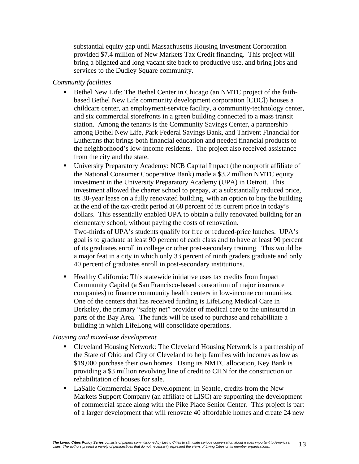substantial equity gap until Massachusetts Housing Investment Corporation provided \$7.4 million of New Markets Tax Credit financing. This project will bring a blighted and long vacant site back to productive use, and bring jobs and services to the Dudley Square community.

#### *Community facilities*

- Bethel New Life: The Bethel Center in Chicago (an NMTC project of the faithbased Bethel New Life community development corporation [CDC]) houses a childcare center, an employment-service facility, a community-technology center, and six commercial storefronts in a green building connected to a mass transit station. Among the tenants is the Community Savings Center, a partnership among Bethel New Life, Park Federal Savings Bank, and Thrivent Financial for Lutherans that brings both financial education and needed financial products to the neighborhood's low-income residents. The project also received assistance from the city and the state.
- University Preparatory Academy: NCB Capital Impact (the nonprofit affiliate of the National Consumer Cooperative Bank) made a \$3.2 million NMTC equity investment in the University Preparatory Academy (UPA) in Detroit. This investment allowed the charter school to prepay, at a substantially reduced price, its 30-year lease on a fully renovated building, with an option to buy the building at the end of the tax-credit period at 68 percent of its current price in today's dollars. This essentially enabled UPA to obtain a fully renovated building for an elementary school, without paying the costs of renovation.

Two-thirds of UPA's students qualify for free or reduced-price lunches. UPA's goal is to graduate at least 90 percent of each class and to have at least 90 percent of its graduates enroll in college or other post-secondary training. This would be a major feat in a city in which only 33 percent of ninth graders graduate and only 40 percent of graduates enroll in post-secondary institutions.

 Healthy California: This statewide initiative uses tax credits from Impact Community Capital (a San Francisco-based consortium of major insurance companies) to finance community health centers in low-income communities. One of the centers that has received funding is LifeLong Medical Care in Berkeley, the primary "safety net" provider of medical care to the uninsured in parts of the Bay Area. The funds will be used to purchase and rehabilitate a building in which LifeLong will consolidate operations.

#### *Housing and mixed-use development*

- Cleveland Housing Network: The Cleveland Housing Network is a partnership of the State of Ohio and City of Cleveland to help families with incomes as low as \$19,000 purchase their own homes. Using its NMTC allocation, Key Bank is providing a \$3 million revolving line of credit to CHN for the construction or rehabilitation of houses for sale.
- LaSalle Commercial Space Development: In Seattle, credits from the New Markets Support Company (an affiliate of LISC) are supporting the development of commercial space along with the Pike Place Senior Center. This project is part of a larger development that will renovate 40 affordable homes and create 24 new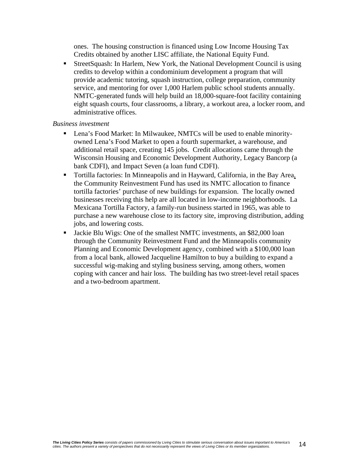ones. The housing construction is financed using Low Income Housing Tax Credits obtained by another LISC affiliate, the National Equity Fund.

 StreetSquash: In Harlem, New York, the National Development Council is using credits to develop within a condominium development a program that will provide academic tutoring, squash instruction, college preparation, community service, and mentoring for over 1,000 Harlem public school students annually. NMTC-generated funds will help build an 18,000-square-foot facility containing eight squash courts, four classrooms, a library, a workout area, a locker room, and administrative offices.

#### *Business investment*

- Lena's Food Market: In Milwaukee, NMTCs will be used to enable minorityowned Lena's Food Market to open a fourth supermarket, a warehouse, and additional retail space, creating 145 jobs. Credit allocations came through the Wisconsin Housing and Economic Development Authority, Legacy Bancorp (a bank CDFI), and Impact Seven (a loan fund CDFI).
- Tortilla factories: In Minneapolis and in Hayward, California, in the Bay Area, the Community Reinvestment Fund has used its NMTC allocation to finance tortilla factories' purchase of new buildings for expansion. The locally owned businesses receiving this help are all located in low-income neighborhoods. La Mexicana Tortilla Factory, a family-run business started in 1965, was able to purchase a new warehouse close to its factory site, improving distribution, adding jobs, and lowering costs.
- Jackie Blu Wigs: One of the smallest NMTC investments, an \$82,000 loan through the Community Reinvestment Fund and the Minneapolis community Planning and Economic Development agency, combined with a \$100,000 loan from a local bank, allowed Jacqueline Hamilton to buy a building to expand a successful wig-making and styling business serving, among others, women coping with cancer and hair loss. The building has two street-level retail spaces and a two-bedroom apartment.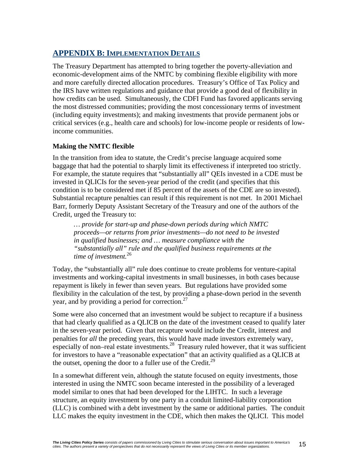# **APPENDIX B: IMPLEMENTATION DETAILS**

The Treasury Department has attempted to bring together the poverty-alleviation and economic-development aims of the NMTC by combining flexible eligibility with more and more carefully directed allocation procedures. Treasury's Office of Tax Policy and the IRS have written regulations and guidance that provide a good deal of flexibility in how credits can be used. Simultaneously, the CDFI Fund has favored applicants serving the most distressed communities; providing the most concessionary terms of investment (including equity investments); and making investments that provide permanent jobs or critical services (e.g., health care and schools) for low-income people or residents of lowincome communities.

# **Making the NMTC flexible**

In the transition from idea to statute, the Credit's precise language acquired some baggage that had the potential to sharply limit its effectiveness if interpreted too strictly. For example, the statute requires that "substantially all" QEIs invested in a CDE must be invested in QLICIs for the seven-year period of the credit (and specifies that this condition is to be considered met if 85 percent of the assets of the CDE are so invested). Substantial recapture penalties can result if this requirement is not met. In 2001 Michael Barr, formerly Deputy Assistant Secretary of the Treasury and one of the authors of the Credit, urged the Treasury to:

*… provide for start-up and phase-down periods during which NMTC proceeds—or returns from prior investments—do not need to be invested in qualified businesses; and … measure compliance with the "substantially all" rule and the qualified business requirements at the time of investment.*<sup>26</sup>

Today, the "substantially all" rule does continue to create problems for venture-capital investments and working-capital investments in small businesses, in both cases because repayment is likely in fewer than seven years. But regulations have provided some flexibility in the calculation of the test, by providing a phase-down period in the seventh year, and by providing a period for correction.<sup>27</sup>

Some were also concerned that an investment would be subject to recapture if a business that had clearly qualified as a QLICB on the date of the investment ceased to qualify later in the seven-year period. Given that recapture would include the Credit, interest and penalties for *all* the preceding years, this would have made investors extremely wary, especially of non–real estate investments.<sup>28</sup> Treasury ruled however, that it was sufficient for investors to have a "reasonable expectation" that an activity qualified as a QLICB at the outset, opening the door to a fuller use of the Credit.<sup>29</sup>

In a somewhat different vein, although the statute focused on equity investments, those interested in using the NMTC soon became interested in the possibility of a leveraged model similar to ones that had been developed for the LIHTC. In such a leverage structure, an equity investment by one party in a conduit limited-liability corporation (LLC) is combined with a debt investment by the same or additional parties. The conduit LLC makes the equity investment in the CDE, which then makes the QLICI. This model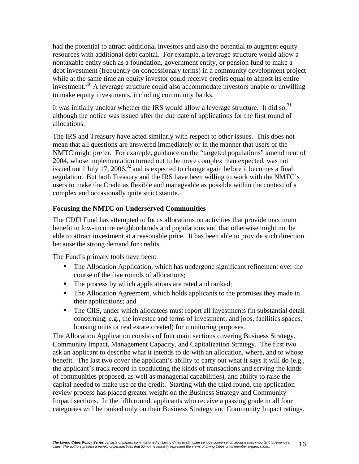had the potential to attract additional investors and also the potential to augment equity resources with additional debt capital. For example, a leverage structure would allow a nontaxable entity such as a foundation, government entity, or pension fund to make a debt investment (frequently on concessionary terms) in a community development project while at the same time an equity investor could receive credits equal to almost its entire investment.30 A leverage structure could also accommodate investors unable or unwilling to make equity investments, including community banks.

It was initially unclear whether the IRS would allow a leverage structure. It did so,  $31$ although the notice was issued after the due date of applications for the first round of allocations.

The IRS and Treasury have acted similarly with respect to other issues. This does not mean that all questions are answered immediately or in the manner that users of the NMTC might prefer. For example, guidance on the "targeted populations" amendment of 2004, whose implementation turned out to be more complex than expected, was not issued until July 17, 2006, $32$  and is expected to change again before it becomes a final regulation. But both Treasury and the IRS have been willing to work with the NMTC's users to make the Credit as flexible and manageable as possible within the context of a complex and occasionally quite strict statute.

#### **Focusing the NMTC on Underserved Communities**

The CDFI Fund has attempted to focus allocations on activities that provide maximum benefit to low-income neighborhoods and populations and that otherwise might not be able to attract investment at a reasonable price. It has been able to provide such direction because the strong demand for credits.

The Fund's primary tools have been:

- The Allocation Application, which has undergone significant refinement over the course of the five rounds of allocations;
- The process by which applications are rated and ranked;
- The Allocation Agreement, which holds applicants to the promises they made in their applications; and
- The CIIS, under which allocatees must report all investments (in substantial detail concerning, e.g., the investee and terms of investment; and jobs, facilities spaces, housing units or real estate created) for monitoring purposes.

The Allocation Application consists of four main sections covering Business Strategy, Community Impact, Management Capacity, and Capitalization Strategy. The first two ask an applicant to describe what it intends to do with an allocation, where, and to whose benefit. The last two cover the applicant's ability to carry out what it says it will do (e.g., the applicant's track record in conducting the kinds of transactions and serving the kinds of communities proposed, as well as managerial capabilities), and ability to raise the capital needed to make use of the credit. Starting with the third round, the application review process has placed greater weight on the Business Strategy and Community Impact sections. In the fifth round, applicants who receive a passing grade in all four categories will be ranked only on their Business Strategy and Community Impact ratings.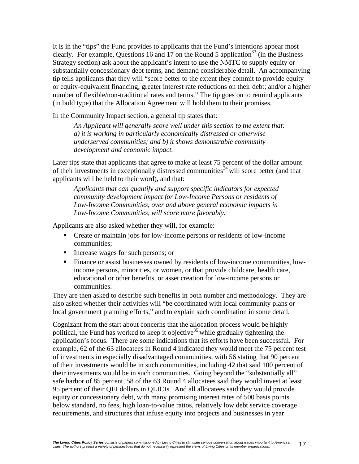It is in the "tips" the Fund provides to applicants that the Fund's intentions appear most clearly. For example, Questions 16 and 17 on the Round 5 application<sup>33</sup> (in the Business Strategy section) ask about the applicant's intent to use the NMTC to supply equity or substantially concessionary debt terms, and demand considerable detail. An accompanying tip tells applicants that they will "score better to the extent they commit to provide equity or equity-equivalent financing; greater interest rate reductions on their debt; and/or a higher number of flexible/non-traditional rates and terms." The tip goes on to remind applicants (in bold type) that the Allocation Agreement will hold them to their promises.

In the Community Impact section, a general tip states that:

*An Applicant will generally score well under this section to the extent that: a) it is working in particularly economically distressed or otherwise underserved communities; and b) it shows demonstrable community development and economic impact.* 

Later tips state that applicants that agree to make at least 75 percent of the dollar amount of their investments in exceptionally distressed communities<sup>34</sup> will score better (and that applicants will be held to their word), and that:

*Applicants that can quantify and support specific indicators for expected community development impact for Low-Income Persons or residents of Low-Income Communities, over and above general economic impacts in Low-Income Communities, will score more favorably.* 

Applicants are also asked whether they will, for example:

- Create or maintain jobs for low-income persons or residents of low-income communities;
- Increase wages for such persons; or
- Finance or assist businesses owned by residents of low-income communities, lowincome persons, minorities, or women, or that provide childcare, health care, educational or other benefits, or asset creation for low-income persons or communities.

They are then asked to describe such benefits in both number and methodology. They are also asked whether their activities will "be coordinated with local community plans or local government planning efforts," and to explain such coordination in some detail.

Cognizant from the start about concerns that the allocation process would be highly political, the Fund has worked to keep it objective<sup>35</sup> while gradually tightening the application's focus. There are some indications that its efforts have been successful. For example, 62 of the 63 allocatees in Round 4 indicated they would meet the 75 percent test of investments in especially disadvantaged communities, with 56 stating that 90 percent of their investments would be in such communities, including 42 that said 100 percent of their investments would be in such communities. Going beyond the "substantially all" safe harbor of 85 percent, 58 of the 63 Round 4 allocatees said they would invest at least 95 percent of their QEI dollars in QLICIs. And all allocatees said they would provide equity or concessionary debt, with many promising interest rates of 500 basis points below standard, no fees, high loan-to-value ratios, relatively low debt service coverage requirements, and structures that infuse equity into projects and businesses in year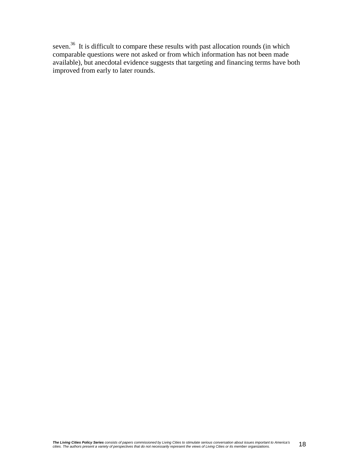seven.<sup>36</sup> It is difficult to compare these results with past allocation rounds (in which comparable questions were not asked or from which information has not been made available), but anecdotal evidence suggests that targeting and financing terms have both improved from early to later rounds.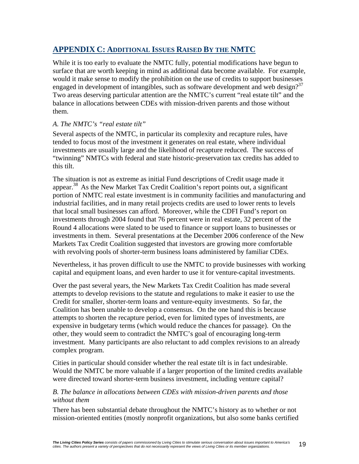# **APPENDIX C: ADDITIONAL ISSUES RAISED BY THE NMTC**

While it is too early to evaluate the NMTC fully, potential modifications have begun to surface that are worth keeping in mind as additional data become available. For example, would it make sense to modify the prohibition on the use of credits to support businesses engaged in development of intangibles, such as software development and web design? $37$ Two areas deserving particular attention are the NMTC's current "real estate tilt" and the balance in allocations between CDEs with mission-driven parents and those without them.

# *A. The NMTC's "real estate tilt"*

Several aspects of the NMTC, in particular its complexity and recapture rules, have tended to focus most of the investment it generates on real estate, where individual investments are usually large and the likelihood of recapture reduced. The success of "twinning" NMTCs with federal and state historic-preservation tax credits has added to this tilt.

The situation is not as extreme as initial Fund descriptions of Credit usage made it appear.38 As the New Market Tax Credit Coalition's report points out, a significant portion of NMTC real estate investment is in community facilities and manufacturing and industrial facilities, and in many retail projects credits are used to lower rents to levels that local small businesses can afford. Moreover, while the CDFI Fund's report on investments through 2004 found that 76 percent were in real estate, 32 percent of the Round 4 allocations were slated to be used to finance or support loans to businesses or investments in them. Several presentations at the December 2006 conference of the New Markets Tax Credit Coalition suggested that investors are growing more comfortable with revolving pools of shorter-term business loans administered by familiar CDEs.

Nevertheless, it has proven difficult to use the NMTC to provide businesses with working capital and equipment loans, and even harder to use it for venture-capital investments.

Over the past several years, the New Markets Tax Credit Coalition has made several attempts to develop revisions to the statute and regulations to make it easier to use the Credit for smaller, shorter-term loans and venture-equity investments. So far, the Coalition has been unable to develop a consensus. On the one hand this is because attempts to shorten the recapture period, even for limited types of investments, are expensive in budgetary terms (which would reduce the chances for passage). On the other, they would seem to contradict the NMTC's goal of encouraging long-term investment. Many participants are also reluctant to add complex revisions to an already complex program.

Cities in particular should consider whether the real estate tilt is in fact undesirable. Would the NMTC be more valuable if a larger proportion of the limited credits available were directed toward shorter-term business investment, including venture capital?

#### *B. The balance in allocations between CDEs with mission-driven parents and those without them*

There has been substantial debate throughout the NMTC's history as to whether or not mission-oriented entities (mostly nonprofit organizations, but also some banks certified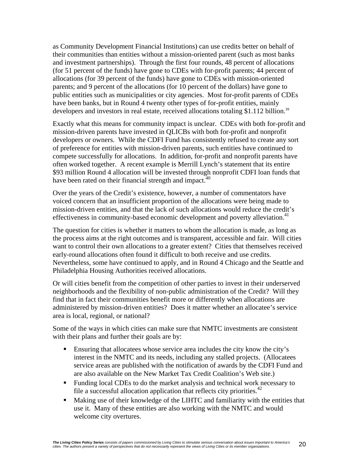as Community Development Financial Institutions) can use credits better on behalf of their communities than entities without a mission-oriented parent (such as most banks and investment partnerships). Through the first four rounds, 48 percent of allocations (for 51 percent of the funds) have gone to CDEs with for-profit parents; 44 percent of allocations (for 39 percent of the funds) have gone to CDEs with mission-oriented parents; and 9 percent of the allocations (for 10 percent of the dollars) have gone to public entities such as municipalities or city agencies. Most for-profit parents of CDEs have been banks, but in Round 4 twenty other types of for-profit entities, mainly developers and investors in real estate, received allocations totaling \$1.112 billion.<sup>39</sup>

Exactly what this means for community impact is unclear. CDEs with both for-profit and mission-driven parents have invested in QLICBs with both for-profit and nonprofit developers or owners. While the CDFI Fund has consistently refused to create any sort of preference for entities with mission-driven parents, such entities have continued to compete successfully for allocations. In addition, for-profit and nonprofit parents have often worked together. A recent example is Merrill Lynch's statement that its entire \$93 million Round 4 allocation will be invested through nonprofit CDFI loan funds that have been rated on their financial strength and impact.<sup>40</sup>

Over the years of the Credit's existence, however, a number of commentators have voiced concern that an insufficient proportion of the allocations were being made to mission-driven entities, and that the lack of such allocations would reduce the credit's effectiveness in community-based economic development and poverty alleviation.<sup>41</sup>

The question for cities is whether it matters to whom the allocation is made, as long as the process aims at the right outcomes and is transparent, accessible and fair. Will cities want to control their own allocations to a greater extent? Cities that themselves received early-round allocations often found it difficult to both receive and use credits. Nevertheless, some have continued to apply, and in Round 4 Chicago and the Seattle and Philadelphia Housing Authorities received allocations.

Or will cities benefit from the competition of other parties to invest in their underserved neighborhoods and the flexibility of non-public administration of the Credit? Will they find that in fact their communities benefit more or differently when allocations are administered by mission-driven entities? Does it matter whether an allocatee's service area is local, regional, or national?

Some of the ways in which cities can make sure that NMTC investments are consistent with their plans and further their goals are by:

- Ensuring that allocatees whose service area includes the city know the city's interest in the NMTC and its needs, including any stalled projects. (Allocatees service areas are published with the notification of awards by the CDFI Fund and are also available on the New Market Tax Credit Coalition's Web site.)
- Funding local CDEs to do the market analysis and technical work necessary to file a successful allocation application that reflects city priorities.<sup> $42$ </sup>
- Making use of their knowledge of the LIHTC and familiarity with the entities that use it. Many of these entities are also working with the NMTC and would welcome city overtures.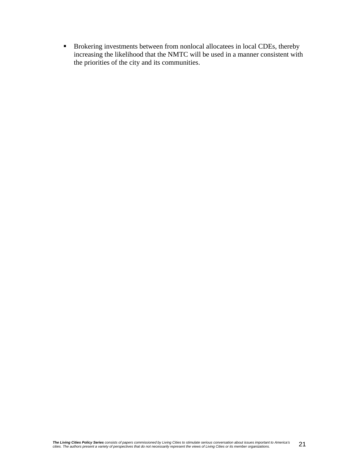**Brokering investments between from nonlocal allocatees in local CDEs, thereby** increasing the likelihood that the NMTC will be used in a manner consistent with the priorities of the city and its communities.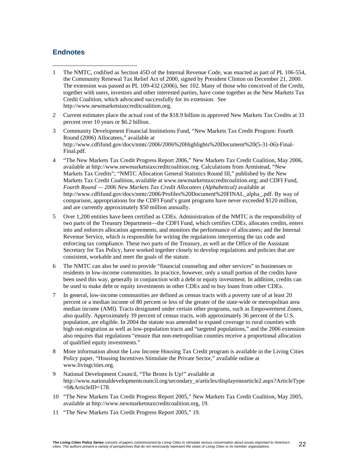### **Endnotes**

- $\overline{a}$ 1 The NMTC, codified as Section 45D of the Internal Revenue Code, was enacted as part of PL 106-554, the Community Renewal Tax Relief Act of 2000, signed by President Clinton on December 21, 2000. The extension was passed as PL 109-432 (2006), Sec 102. Many of those who conceived of the Credit, together with users, investors and other interested parties, have come together as the New Markets Tax Credit Coalition, which advocated successfully for its extension. See http://www.newmarketstaxcreditcoalition.org.
- 2 Current estimates place the actual cost of the \$18.9 billion in approved New Markets Tax Credits at 33 percent over 10 years or \$6.2 billion.
- 3 Community Development Financial Institutions Fund, "New Markets Tax Credit Program: Fourth Round (2006) Allocatees," available at http://www.cdfifund.gov/docs/nmtc/2006/2006%20Highlights%20Document%20(5-31-06)-Final-Final.pdf.
- 4 "The New Markets Tax Credit Progress Report 2006," New Markets Tax Credit Coalition, May 2006, available at http://www.newmarketstaxcreditcoalition.org. Calculations from Armistead, "New Markets Tax Credits"; "NMTC Allocation General Statistics Round III," published by the New Markets Tax Credit Coalition, available at www.newmarketstaxcreditcoalition.org; and CDFI Fund, *Fourth Round — 2006 New Markets Tax Credit Allocatees (Alphabetical)* available at http://www.cdfifund.gov/docs/nmtc/2006/Profiles%20Document%20FINAL\_alpha\_.pdf. By way of comparison, appropriations for the CDFI Fund's grant programs have never exceeded \$120 million, and are currently approximately \$50 million annually.
- 5 Over 1,200 entities have been certified as CDEs. Administration of the NMTC is the responsibility of two parts of the Treasury Department—the CDFI Fund, which certifies CDEs, allocates credits, enters into and enforces allocation agreements, and monitors the performance of allocatees; and the Internal Revenue Service, which is responsible for writing the regulations interpreting the tax code and enforcing tax compliance. These two parts of the Treasury, as well as the Office of the Assistant Secretary for Tax Policy, have worked together closely to develop regulations and policies that are consistent, workable and meet the goals of the statute.
- 6 The NMTC can also be used to provide "financial counseling and other services" to businesses or residents in low-income communities. In practice, however, only a small portion of the credits have been used this way, generally in conjunction with a debt or equity investment. In addition, credits can be used to make debt or equity investments in other CDEs and to buy loans from other CDEs.
- 7 In general, low-income communities are defined as census tracts with a poverty rate of at least 20 percent or a median income of 80 percent or less of the greater of the state-wide or metropolitan area median income (AMI). Tracts designated under certain other programs, such as Empowerment Zones, also qualify. Approximately 39 percent of census tracts, with approximately 36 percent of the U.S. population, are eligible. In 2004 the statute was amended to expand coverage to rural counties with high out-migration as well as low-population tracts and "targeted populations," and the 2006 extension also requires that regulations "ensure that non-metropolitan counties receive a proportional allocation of qualified equity investments."
- 8 More information about the Low Income Housing Tax Credit program is available in the Living Cities Policy paper, "Housing Incentives Stimulate the Private Sector," available online at www.livingcities.org.
- 9 National Development Council, "The Bronx Is Up!" available at http://www.nationaldevelopmentcouncil.org/secondary\_n/articles/displayonearticle2.aspx?ArticleType =0&ArticleID=178.
- 10 "The New Markets Tax Credit Progress Report 2005," New Markets Tax Credit Coalition, May 2005, available at http://www.newmarketstaxcreditcoalition.org, 19.
- 11 "The New Markets Tax Credit Progress Report 2005," 19.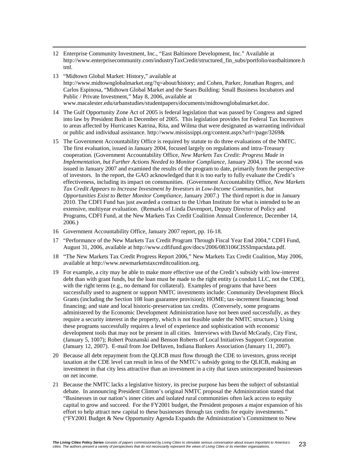- 12 Enterprise Community Investment, Inc., "East Baltimore Development, Inc." Available at http://www.enterprisecommunity.com/industryTaxCredit/structured\_fin\_subs/portfolio/eastbaltimore.h tml.
- 13 "Midtown Global Market: History," available at http://www.midtownglobalmarket.org/?q=about/history; and Cohen, Parker, Jonathan Rogers, and Carlos Espinosa, "Midtown Global Market and the Sears Building: Small Business Incubators and Public / Private Investment," May 8, 2006, available at www.macalester.edu/urbanstudies/studentpapers/documents/midtownglobalmarket.doc.
- 14 The Gulf Opportunity Zone Act of 2005 is federal legislation that was passed by Congress and signed into law by President Bush in December of 2005. This legislation provides for Federal Tax Incentives to areas affected by Hurricanes Katrina, Rita, and Wilma that were designated as warranting individual or public and individual assistance. http://www.mississippi.org/content.aspx?url=/page/3269&
- 15 The Government Accountability Office is required by statute to do three evaluations of the NMTC. The first evaluation, issued in January 2004, focused largely on regulations and intra-Treasury cooperation. (Government Accountability Office, *New Markets Tax Credit: Progress Made in Implementation, but Further Actions Needed to Monitor Compliance*, January 2004.) The second was issued in January 2007 and examined the results of the program to date, primarily from the perspective of investors. In the report, the GAO acknowledged that it is too early to fully evaluate the Credit's effectiveness, including its impact on communities. (Government Accountability Office, *New Markets Tax Credit Appears to Increase Investment by Investors in Low-Income Communities, but Opportunities Exist to Better Monitor Compliance*, January 2007.) The third report is due in January 2010. The CDFI Fund has just awarded a contract to the Urban Institute for what is intended to be an extensive, multiyear evaluation. (Remarks of Linda Davenport, Deputy Director of Policy and Programs, CDFI Fund, at the New Markets Tax Credit Coalition Annual Conference, December 14, 2006.)
- 16 Government Accountability Office, January 2007 report, pp. 16-18.
- 17 "Performance of the New Markets Tax Credit Program Through Fiscal Year End 2004," CDFI Fund, August 31, 2006, available at http://www.cdfifund.gov/docs/2006/083106CISSImpactdata.pdf.
- 18 "The New Markets Tax Credit Progress Report 2006," New Markets Tax Credit Coalition, May 2006, available at http://www.newmarketstaxcreditcoalition.org.
- 19 For example, a city may be able to make more effective use of the Credit's subsidy with low-interest debt than with grant funds, but the loan must be made to the right entity (a conduit LLC, not the CDE), with the right terms (e.g., no demand for collateral). Examples of programs that have been successfully used to augment or support NMTC investments include: Community Development Block Grants (including the Section 108 loan guarantee provision); HOME; tax-increment financing; bond financing; and state and local historic-preservation tax credits. (Conversely, some programs administered by the Economic Development Administration have not been used successfully, as they require a security interest in the property, which is not feasible under the NMTC structure.) Using these programs successfully requires a level of experience and sophistication with economic development tools that may not be present in all cities. Interviews with David McGrady, City First, (January 5, 1007); Robert Poznanski and Benson Roberts of Local Initiatives Support Corporation (January 12, 2007). E-mail from Joe DeHaven, Indiana Bankers Association (January 11, 2007).
- 20 Because all debt repayment from the QLICB must flow through the CDE to investors, gross receipt taxation at the CDE level can result in less of the NMTC's subsidy going to the QLICB, making an investment in that city less attractive than an investment in a city that taxes unincorporated businesses on net income.
- 21 Because the NMTC lacks a legislative history, its precise purpose has been the subject of substantial debate. In announcing President Clinton's original NMTC proposal the Administration stated that "Businesses in our nation's inner cities and isolated rural communities often lack access to equity capital to grow and succeed. For the FY2001 budget, the President proposes a major expansion of his effort to help attract new capital to these businesses through tax credits for equity investments." ("FY2001 Budget & New Opportunity Agenda Expands the Administration's Commitment to New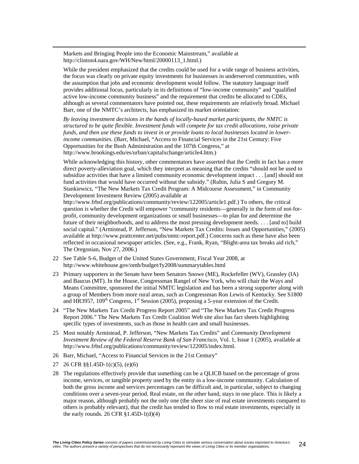Markets and Bringing People into the Economic Mainstream," available at http://clinton4.nara.gov/WH/New/html/20000113\_1.html.)

 While the president emphasized that the credits could be used for a wide range of business activities, the focus was clearly on private equity investments for businesses in underserved communities, with the assumption that jobs and economic development would follow. The statutory language itself provides additional focus, particularly in its definitions of "low-income community" and "qualified active low-income community business" and the requirement that credits be allocated to CDEs, although as several commentators have pointed out, these requirements are relatively broad. Michael Barr, one of the NMTC's architects, has emphasized its market orientation:

 *By leaving investment decisions in the hands of locally-based market participants, the NMTC is structured to be quite flexible. Investment funds will compete for tax credit allocations, raise private funds, and then use these funds to invest in or provide loans to local businesses located in lowerincome communities.* (Barr, Michael, "Access to Financial Services in the 21st Century: Five Opportunities for the Bush Administration and the 107th Congress," at http://www.brookings.edu/es/urban/capitalxchange/article4.htm.)

 While acknowledging this history, other commentators have asserted that the Credit in fact has a more direct poverty-alleviation goal, which they interpret as meaning that the credits "should not be used to subsidize activities that have a limited community economic development impact . . . [and] should not fund activities that would have occurred without the subsidy." (Rubin, Julia S and Gregory M. Stankiewicz, "The New Markets Tax Credit Program: A Midcourse Assessment," in Community Development Investment Review (2005) available at

http://www.frbsf.org/publications/community/review/122005/article1.pdf.) To others, the critical question is whether the Credit will empower "community residents—generally in the form of not-forprofit, community development organizations or small businesses—to plan for and determine the future of their neighborhoods, and to address the most pressing development needs. . . . [and to] build social capital." (Armistead, P. Jefferson, "New Markets Tax Credits: Issues and Opportunities," (2005) available at http://www.prattcenter.net/pubs/nmtc-report.pdf.) Concerns such as these have also been reflected in occasional newspaper articles. (See, e.g., Frank, Ryan, "Blight-area tax breaks aid rich," The Oregonian, Nov 27, 2006.)

- 22 See Table S-6, Budget of the United States Government, Fiscal Year 2008, at http://www.whitehouse.gov/omb/budget/fy2008/summarytables.html
- 23 Primary supporters in the Senate have been Senators Snowe (ME), Rockefeller (WV), Grassley (IA) and Baucus (MT). In the House, Congressman Rangel of New York, who will chair the Ways and Means Committee, sponsored the initial NMTC legislation and has been a strong supporter along with a group of Members from more rural areas, such as Congressman Ron Lewis of Kentucky. See S1800 and HR3957,  $109<sup>th</sup>$  Congress,  $1<sup>st</sup>$  Session (2005), proposing a 5-year extension of the Credit.
- 24 "The New Markets Tax Credit Progress Report 2005" and "The New Markets Tax Credit Progress Report 2006." The New Markets Tax Credit Coalition Web site also has fact sheets highlighting specific types of investments, such as those in health care and small businesses.
- 25 Most notably Armistead, P. Jefferson, "New Markets Tax Credits" and *Community Development Investment Review of the Federal Reserve Bank of San Francisco*, Vol. 1, Issue 1 (2005), available at http://www.frbsf.org/publications/community/review/122005/index.html.
- 26 Barr, Michael, "Access to Financial Services in the 21st Century"
- 27 26 CFR §§1.45D-1(c)(5), (e)(6)
- 28 The regulations effectively provide that something can be a QLICB based on the percentage of gross income, services, or tangible property used by the entity in a low-income community. Calculation of both the gross income and services percentages can be difficult and, in particular, subject to changing conditions over a seven-year period. Real estate, on the other hand, stays in one place. This is likely a major reason, although probably not the only one (the sheer size of real estate investments compared to others is probably relevant), that the credit has tended to flow to real estate investments, especially in the early rounds. 26 CFR  $\S1.45D-1(d)(4)$